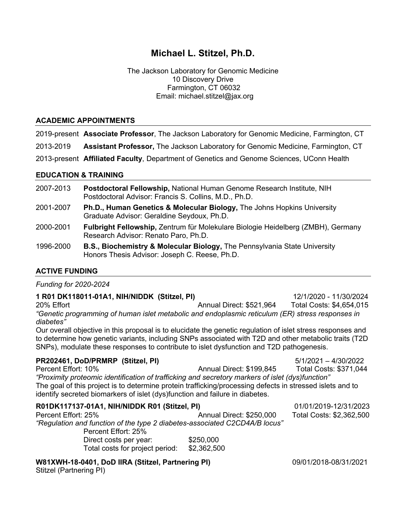# **Michael L. Stitzel, Ph.D.**

The Jackson Laboratory for Genomic Medicine 10 Discovery Drive Farmington, CT 06032 Email: michael.stitzel@jax.org

#### **ACADEMIC APPOINTMENTS**

2019-present **Associate Professor**, The Jackson Laboratory for Genomic Medicine, Farmington, CT

2013-2019 **Assistant Professor,** The Jackson Laboratory for Genomic Medicine, Farmington, CT

2013-present **Affiliated Faculty**, Department of Genetics and Genome Sciences, UConn Health

#### **EDUCATION & TRAINING**

- 2007-2013 **Postdoctoral Fellowship,** National Human Genome Research Institute, NIH Postdoctoral Advisor: Francis S. Collins, M.D., Ph.D.
- 2001-2007 **Ph.D., Human Genetics & Molecular Biology,** The Johns Hopkins University Graduate Advisor: Geraldine Seydoux, Ph.D.
- 2000-2001 **Fulbright Fellowship,** Zentrum für Molekulare Biologie Heidelberg (ZMBH), Germany Research Advisor: Renato Paro, Ph.D.
- 1996-2000 **B.S., Biochemistry & Molecular Biology,** The Pennsylvania State University Honors Thesis Advisor: Joseph C. Reese, Ph.D.

## **ACTIVE FUNDING**

*Funding for 2020-2024*

## **1 R01 DK118011-01A1, NIH/NIDDK (Stitzel, PI)** 12/1/2020 - 11/30/2024

20% Effort Annual Direct: \$521,964 Total Costs: \$4,654,015 *"Genetic programming of human islet metabolic and endoplasmic reticulum (ER) stress responses in diabetes"*

Our overall objective in this proposal is to elucidate the genetic regulation of islet stress responses and to determine how genetic variants, including SNPs associated with T2D and other metabolic traits (T2D SNPs), modulate these responses to contribute to islet dysfunction and T2D pathogenesis.

## **PR202461, DoD/PRMRP (Stitzel, PI)** 5/1/2021 – 4/30/2022

Percent Effort: 10% Annual Direct: \$199,845 Total Costs: \$371,044 *"Proximity proteomic identification of trafficking and secretory markers of islet (dys)function"* The goal of this project is to determine protein trafficking/processing defects in stressed islets and to identify secreted biomarkers of islet (dys)function and failure in diabetes.

| R01DK117137-01A1, NIH/NIDDK R01 (Stitzel, PI)                              |                          | 01/01/2019-12/31/2023    |
|----------------------------------------------------------------------------|--------------------------|--------------------------|
| Percent Effort: 25%                                                        | Annual Direct: \$250,000 | Total Costs: \$2,362,500 |
| "Regulation and function of the type 2 diabetes-associated C2CD4A/B locus" |                          |                          |
| Percent Effort: 25%                                                        |                          |                          |
| Direct costs per year:                                                     | \$250,000                |                          |

**W81XWH-18-0401, DoD IIRA (Stitzel, Partnering PI)** 09/01/2018-08/31/2021 Stitzel (Partnering PI)

Total costs for project period: \$2,362,500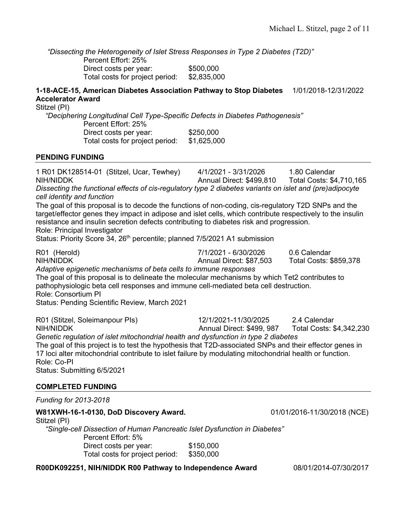*"Dissecting the Heterogeneity of Islet Stress Responses in Type 2 Diabetes (T2D)"*  Percent Effort: 25% Direct costs per year: \$500,000 Total costs for project period: \$2,835,000

## **1-18-ACE-15, American Diabetes Association Pathway to Stop Diabetes** 1/01/2018-12/31/2022 **Accelerator Award**

Stitzel (PI)

*"Deciphering Longitudinal Cell Type-Specific Defects in Diabetes Pathogenesis"* Percent Effort: 25% Direct costs per year: \$250,000

Total costs for project period: \$1,625,000

#### **PENDING FUNDING**

1 R01 DK128514-01 (Stitzel, Ucar, Tewhey) 4/1/2021 - 3/31/2026 1.80 Calendar NIH/NIDDK Annual Direct: \$499,810 Total Costs: \$4,710,165 *Dissecting the functional effects of cis-regulatory type 2 diabetes variants on islet and (pre)adipocyte cell identity and function* The goal of this proposal is to decode the functions of non-coding, cis-regulatory T2D SNPs and the target/effector genes they impact in adipose and islet cells, which contribute respectively to the insulin resistance and insulin secretion defects contributing to diabetes risk and progression. Role: Principal Investigator Status: Priority Score 34, 26<sup>th</sup> percentile; planned 7/5/2021 A1 submission R01 (Herold) 7/1/2021 - 6/30/2026 0.6 Calendar NIH/NIDDK Annual Direct: \$87,503 Total Costs: \$859,378 *Adaptive epigenetic mechanisms of beta cells to immune responses* The goal of this proposal is to delineate the molecular mechanisms by which Tet2 contributes to pathophysiologic beta cell responses and immune cell-mediated beta cell destruction. Role: Consortium PI Status: Pending Scientific Review, March 2021 R01 (Stitzel, Soleimanpour PIs) 12/1/2021-11/30/2025 2.4 Calendar NIH/NIDDK Annual Direct: \$499, 987 Total Costs: \$4,342,230 *Genetic regulation of islet mitochondrial health and dysfunction in type 2 diabetes* The goal of this project is to test the hypothesis that T2D-associated SNPs and their effector genes in 17 loci alter mitochondrial contribute to islet failure by modulating mitochondrial health or function. Role: Co-PI Status: Submitting 6/5/2021

## **COMPLETED FUNDING**

*Funding for 2013-2018*

## **W81XWH-16-1-0130, DoD Discovery Award.** 01/01/2016-11/30/2018 (NCE)

Stitzel (PI)

*"Single-cell Dissection of Human Pancreatic Islet Dysfunction in Diabetes"*  Percent Effort: 5% Direct costs per year: \$150,000 Total costs for project period: \$350,000

**R00DK092251, NIH/NIDDK R00 Pathway to Independence Award** 08/01/2014-07/30/2017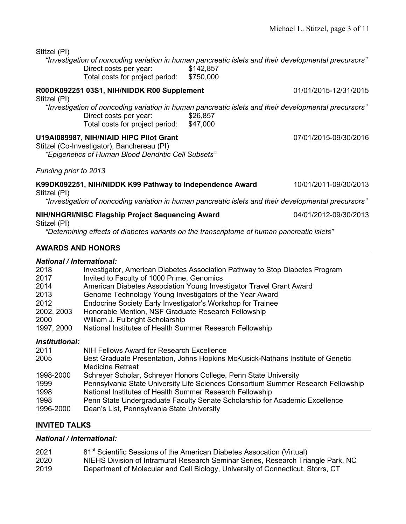**R00DK092251 03S1, NIH/NIDDK R00 Supplement** 01/01/2015-12/31/2015

| Stitzel (PI) |  |
|--------------|--|
|--------------|--|

*"Investigation of noncoding variation in human pancreatic islets and their developmental precursors"*  Direct costs per year: \$142,857<br>Total costs for project period: \$750,000 Total costs for project period:

|              |  | R00DK092251 03S1, NIH/NIDDK R00 Supplement |
|--------------|--|--------------------------------------------|
| Stitzel (PI) |  |                                            |

*"Investigation of noncoding variation in human pancreatic islets and their developmental precursors"*  Direct costs per year: \$26,857<br>Total costs for project period: \$47,000 Total costs for project period:

## **U19AI089987, NIH/NIAID HIPC Pilot Grant** 07/01/2015-09/30/2016

Stitzel (Co-Investigator), Banchereau (PI)

*"Epigenetics of Human Blood Dendritic Cell Subsets"*

*Funding prior to 2013*

## **K99DK092251, NIH/NIDDK K99 Pathway to Independence Award** 10/01/2011-09/30/2013

Stitzel (PI)

*"Investigation of noncoding variation in human pancreatic islets and their developmental precursors"*

# **NIH/NHGRI/NISC Flagship Project Sequencing Award** 04/01/2012-09/30/2013

Stitzel (PI)

*"Determining effects of diabetes variants on the transcriptome of human pancreatic islets"*

## **AWARDS AND HONORS**

# *National / International:*

| National / International: |                                                                                   |
|---------------------------|-----------------------------------------------------------------------------------|
| 2018                      | Investigator, American Diabetes Association Pathway to Stop Diabetes Program      |
| 2017                      | Invited to Faculty of 1000 Prime, Genomics                                        |
| 2014                      | American Diabetes Association Young Investigator Travel Grant Award               |
| 2013                      | Genome Technology Young Investigators of the Year Award                           |
| 2012                      | Endocrine Society Early Investigator's Workshop for Trainee                       |
| 2002, 2003                | Honorable Mention, NSF Graduate Research Fellowship                               |
| 2000                      | William J. Fulbright Scholarship                                                  |
| 1997, 2000                | National Institutes of Health Summer Research Fellowship                          |
| Institutional:            |                                                                                   |
| 2011                      | NIH Fellows Award for Research Excellence                                         |
| 2005                      | Best Graduate Presentation, Johns Hopkins McKusick-Nathans Institute of Genetic   |
|                           | <b>Medicine Retreat</b>                                                           |
| 1998-2000                 | Schreyer Scholar, Schreyer Honors College, Penn State University                  |
| 1999                      | Pennsylvania State University Life Sciences Consortium Summer Research Fellowship |
| 1998                      | National Institutes of Health Summer Research Fellowship                          |
| 1998                      | Penn State Undergraduate Faculty Senate Scholarship for Academic Excellence       |
| 1996-2000                 | Dean's List, Pennsylvania State University                                        |

## **INVITED TALKS**

## *National / International:*

| 2021 | 81 <sup>st</sup> Scientific Sessions of the American Diabetes Assocation (Virtual) |
|------|------------------------------------------------------------------------------------|
| 2020 | NIEHS Division of Intramural Research Seminar Series, Research Triangle Park, NC   |
| 2019 | Department of Molecular and Cell Biology, University of Connecticut, Storrs, CT    |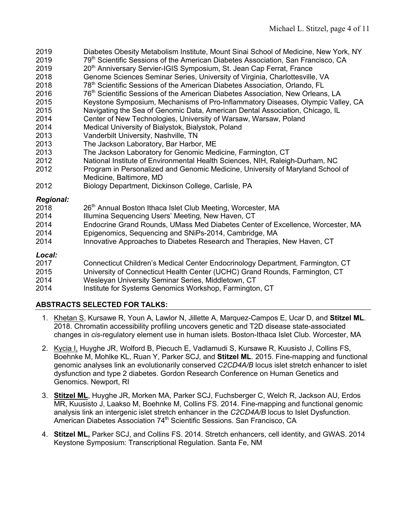- 2019 Diabetes Obesity Metabolism Institute, Mount Sinai School of Medicine, New York, NY
- 2019 79<sup>th</sup> Scientific Sessions of the American Diabetes Association, San Francisco, CA
- 2019 20<sup>th</sup> Anniversary Servier-IGIS Symposium, St. Jean Cap Ferrat, France
- 2018 Genome Sciences Seminar Series, University of Virginia, Charlottesville, VA
- 2018 78th Scientific Sessions of the American Diabetes Association, Orlando, FL
- 2016 76<sup>th</sup> Scientific Sessions of the American Diabetes Association, New Orleans, LA
- 2015 Keystone Symposium, Mechanisms of Pro-Inflammatory Diseases, Olympic Valley, CA
- 2015 Navigating the Sea of Genomic Data, American Dental Association, Chicago, IL
- 2014 Center of New Technologies, University of Warsaw, Warsaw, Poland<br>2014 Medical University of Bialystok, Bialystok, Poland
- Medical University of Bialystok, Bialystok, Poland
- 2013 Vanderbilt University, Nashville, TN
- 2013 The Jackson Laboratory, Bar Harbor, ME
- 2013 The Jackson Laboratory for Genomic Medicine, Farmington, CT
- 2012 National Institute of Environmental Health Sciences, NIH, Raleigh-Durham, NC 2012 Program in Personalized and Genomic Medicine, University of Maryland School of
- Medicine, Baltimore, MD
- 2012 Biology Department, Dickinson College, Carlisle, PA

## *Regional:*

- 2018 26<sup>th</sup> Annual Boston Ithaca Islet Club Meeting, Worcester, MA
- 2014 Illumina Sequencing Users' Meeting, New Haven, CT
- 2014 Endocrine Grand Rounds, UMass Med Diabetes Center of Excellence, Worcester, MA
- 2014 Epigenomics, Sequencing and SNiPs-2014, Cambridge, MA
- 2014 Innovative Approaches to Diabetes Research and Therapies, New Haven, CT

## *Local:*

- 2017 Connecticut Children's Medical Center Endocrinology Department, Farmington, CT
- 2015 University of Connecticut Health Center (UCHC) Grand Rounds, Farmington, CT
- 2014 Wesleyan University Seminar Series, Middletown, CT
- 2014 Institute for Systems Genomics Workshop, Farmington, CT

## **ABSTRACTS SELECTED FOR TALKS:**

- 1. Khetan S, Kursawe R, Youn A, Lawlor N, Jillette A, Marquez-Campos E, Ucar D, and **Stitzel ML**. 2018. Chromatin accessibility profiling uncovers genetic and T2D disease state-associated changes in *cis*-regulatory element use in human islets. Boston-Ithaca Islet Club. Worcester, MA
- 2. Kycia I, Huyghe JR, Wolford B, Piecuch E, Vadlamudi S, Kursawe R, Kuusisto J, Collins FS, Boehnke M, Mohlke KL, Ruan Y, Parker SCJ, and **Stitzel ML**. 2015. Fine-mapping and functional genomic analyses link an evolutionarily conserved *C2CD4A/B* locus islet stretch enhancer to islet dysfunction and type 2 diabetes. Gordon Research Conference on Human Genetics and Genomics. Newport, RI
- 3. **Stitzel ML**, Huyghe JR, Morken MA, Parker SCJ, Fuchsberger C, Welch R, Jackson AU, Erdos MR, Kuusisto J, Laakso M, Boehnke M, Collins FS. 2014. Fine-mapping and functional genomic analysis link an intergenic islet stretch enhancer in the *C2CD4A/B* locus to Islet Dysfunction. American Diabetes Association 74<sup>th</sup> Scientific Sessions. San Francisco, CA
- 4. **Stitzel ML,** Parker SCJ, and Collins FS. 2014. Stretch enhancers, cell identity, and GWAS. 2014 Keystone Symposium: Transcriptional Regulation. Santa Fe, NM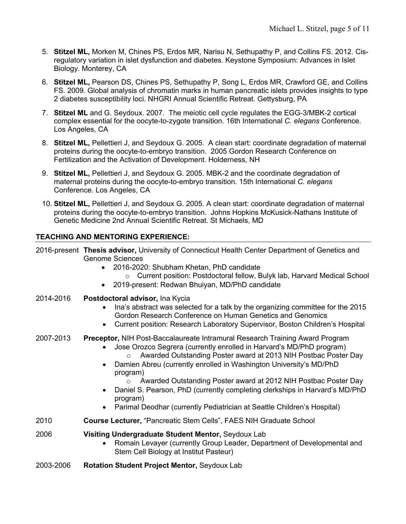- 5. **Stitzel ML,** Morken M, Chines PS, Erdos MR, Narisu N, Sethupathy P, and Collins FS. 2012. Cisregulatory variation in islet dysfunction and diabetes. Keystone Symposium: Advances in Islet Biology. Monterey, CA
- 6. **Stitzel ML,** Pearson DS, Chines PS, Sethupathy P, Song L, Erdos MR, Crawford GE, and Collins FS. 2009. Global analysis of chromatin marks in human pancreatic islets provides insights to type 2 diabetes susceptibility loci. NHGRI Annual Scientific Retreat. Gettysburg, PA
- 7. **Stitzel ML** and G. Seydoux. 2007. The meiotic cell cycle regulates the EGG-3/MBK-2 cortical complex essential for the oocyte-to-zygote transition. 16th International *C. elegans* Conference. Los Angeles, CA
- 8. **Stitzel ML,** Pellettieri J, and Seydoux G. 2005. A clean start: coordinate degradation of maternal proteins during the oocyte-to-embryo transition. 2005 Gordon Research Conference on Fertilization and the Activation of Development. Holderness, NH
- 9. **Stitzel ML,** Pellettieri J, and Seydoux G. 2005. MBK-2 and the coordinate degradation of maternal proteins during the oocyte-to-embryo transition. 15th International *C. elegans* Conference. Los Angeles, CA
- 10. **Stitzel ML,** Pellettieri J, and Seydoux G. 2005. A clean start: coordinate degradation of maternal proteins during the oocyte-to-embryo transition. Johns Hopkins McKusick-Nathans Institute of Genetic Medicine 2nd Annual Scientific Retreat. St Michaels, MD

## **TEACHING AND MENTORING EXPERIENCE:**

2016-present **Thesis advisor,** University of Connecticut Health Center Department of Genetics and Genome Sciences

- 2016-2020: Shubham Khetan, PhD candidate
	- o Current position: Postdoctoral fellow, Bulyk lab, Harvard Medical School
- 2019-present: Redwan Bhuiyan, MD/PhD candidate
- 2014-2016 **Postdoctoral advisor,** Ina Kycia
	- Ina's abstract was selected for a talk by the organizing committee for the 2015 Gordon Research Conference on Human Genetics and Genomics
	- Current position: Research Laboratory Supervisor, Boston Children's Hospital
- 2007-2013 **Preceptor,** NIH Post-Baccalaureate Intramural Research Training Award Program
	- Jose Orozco Segrera (currently enrolled in Harvard's MD/PhD program)
		- o Awarded Outstanding Poster award at 2013 NIH Postbac Poster Day
	- Damien Abreu (currently enrolled in Washington University's MD/PhD program)
		- o Awarded Outstanding Poster award at 2012 NIH Postbac Poster Day
	- Daniel S. Pearson, PhD (currently completing clerkships in Harvard's MD/PhD program)
	- Parimal Deodhar (currently Pediatrician at Seattle Children's Hospital)
- 2010 **Course Lecturer,** "Pancreatic Stem Cells", FAES NIH Graduate School
- 2006 **Visiting Undergraduate Student Mentor,** Seydoux Lab
	- Romain Levayer (currently Group Leader, Department of Developmental and Stem Cell Biology at Institut Pasteur)
- 2003-2006 **Rotation Student Project Mentor,** Seydoux Lab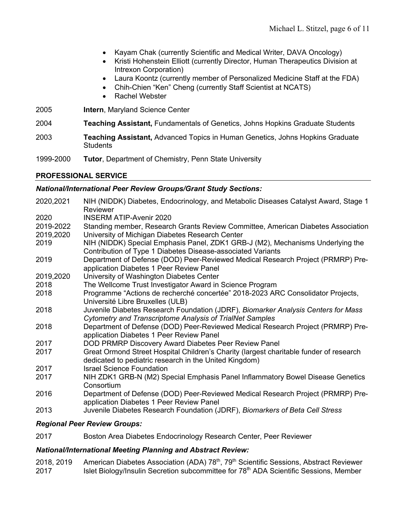- Kayam Chak (currently Scientific and Medical Writer, DAVA Oncology)
- Kristi Hohenstein Elliott (currently Director, Human Therapeutics Division at Intrexon Corporation)
- Laura Koontz (currently member of Personalized Medicine Staff at the FDA)
- Chih-Chien "Ken" Cheng (currently Staff Scientist at NCATS)
- Rachel Webster
- 2005 **Intern**, Maryland Science Center
- 2004 **Teaching Assistant,** Fundamentals of Genetics, Johns Hopkins Graduate Students
- 2003 **Teaching Assistant,** Advanced Topics in Human Genetics, Johns Hopkins Graduate **Students**
- 1999-2000 **Tutor**, Department of Chemistry, Penn State University

## **PROFESSIONAL SERVICE**

## *National/International Peer Review Groups/Grant Study Sections:*

| 2020,2021 | NIH (NIDDK) Diabetes, Endocrinology, and Metabolic Diseases Catalyst Award, Stage 1<br>Reviewer                                                  |
|-----------|--------------------------------------------------------------------------------------------------------------------------------------------------|
| 2020      | <b>INSERM ATIP-Avenir 2020</b>                                                                                                                   |
| 2019-2022 | Standing member, Research Grants Review Committee, American Diabetes Association                                                                 |
| 2019,2020 | University of Michigan Diabetes Research Center                                                                                                  |
| 2019      | NIH (NIDDK) Special Emphasis Panel, ZDK1 GRB-J (M2), Mechanisms Underlying the<br>Contribution of Type 1 Diabetes Disease-associated Variants    |
| 2019      | Department of Defense (DOD) Peer-Reviewed Medical Research Project (PRMRP) Pre-<br>application Diabetes 1 Peer Review Panel                      |
| 2019,2020 | University of Washington Diabetes Center                                                                                                         |
| 2018      | The Wellcome Trust Investigator Award in Science Program                                                                                         |
| 2018      | Programme "Actions de recherché concertée" 2018-2023 ARC Consolidator Projects,                                                                  |
|           | Université Libre Bruxelles (ULB)                                                                                                                 |
| 2018      | Juvenile Diabetes Research Foundation (JDRF), Biomarker Analysis Centers for Mass<br>Cytometry and Transcriptome Analysis of TrialNet Samples    |
| 2018      | Department of Defense (DOD) Peer-Reviewed Medical Research Project (PRMRP) Pre-<br>application Diabetes 1 Peer Review Panel                      |
| 2017      | DOD PRMRP Discovery Award Diabetes Peer Review Panel                                                                                             |
| 2017      | Great Ormond Street Hospital Children's Charity (largest charitable funder of research<br>dedicated to pediatric research in the United Kingdom) |
| 2017      | <b>Israel Science Foundation</b>                                                                                                                 |
| 2017      | NIH ZDK1 GRB-N (M2) Special Emphasis Panel Inflammatory Bowel Disease Genetics<br>Consortium                                                     |
| 2016      | Department of Defense (DOD) Peer-Reviewed Medical Research Project (PRMRP) Pre-<br>application Diabetes 1 Peer Review Panel                      |
| 2013      | Juvenile Diabetes Research Foundation (JDRF), Biomarkers of Beta Cell Stress                                                                     |

## *Regional Peer Review Groups:*

2017 Boston Area Diabetes Endocrinology Research Center, Peer Reviewer

## *National/International Meeting Planning and Abstract Review:*

2018, 2019 American Diabetes Association (ADA) 78<sup>th</sup>, 79<sup>th</sup> Scientific Sessions, Abstract Reviewer 2017 Islet Biology/Insulin Secretion subcommittee for 78<sup>th</sup> ADA Scientific Sessions, Member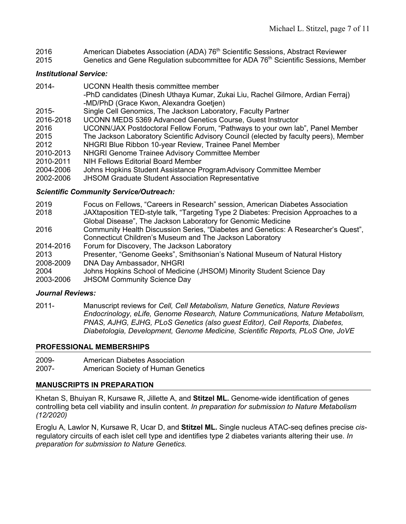- 2016 American Diabetes Association (ADA) 76<sup>th</sup> Scientific Sessions, Abstract Reviewer
- 2015 Genetics and Gene Regulation subcommittee for ADA 76<sup>th</sup> Scientific Sessions, Member

## *Institutional Service:*

| $2014 -$  | <b>UCONN Health thesis committee member</b>                                           |
|-----------|---------------------------------------------------------------------------------------|
|           | -PhD candidates (Dinesh Uthaya Kumar, Zukai Liu, Rachel Gilmore, Ardian Ferraj)       |
|           | -MD/PhD (Grace Kwon, Alexandra Goetjen)                                               |
| $2015 -$  | Single Cell Genomics, The Jackson Laboratory, Faculty Partner                         |
| 2016-2018 | <b>UCONN MEDS 5369 Advanced Genetics Course, Guest Instructor</b>                     |
| 2016      | UCONN/JAX Postdoctoral Fellow Forum, "Pathways to your own lab", Panel Member         |
| 2015      | The Jackson Laboratory Scientific Advisory Council (elected by faculty peers), Member |
| 2012      | NHGRI Blue Ribbon 10-year Review, Trainee Panel Member                                |
| 2010-2013 | NHGRI Genome Trainee Advisory Committee Member                                        |
| 2010-2011 | NIH Fellows Editorial Board Member                                                    |
| 2004-2006 | Johns Hopkins Student Assistance Program Advisory Committee Member                    |
| 2002-2006 | <b>JHSOM Graduate Student Association Representative</b>                              |
|           |                                                                                       |

## *Scientific Community Service/Outreach:*

- 2019 Focus on Fellows, "Careers in Research" session, American Diabetes Association
- 2018 JAXtaposition TED-style talk, "Targeting Type 2 Diabetes: Precision Approaches to a Global Disease", The Jackson Laboratory for Genomic Medicine
- 2016 Community Health Discussion Series, "Diabetes and Genetics: A Researcher's Quest", Connecticut Children's Museum and The Jackson Laboratory
- 2014-2016 Forum for Discovery, The Jackson Laboratory
- 2013 Presenter, "Genome Geeks", Smithsonian's National Museum of Natural History 2008-2009 DNA Day Ambassador, NHGRI
- 2004 Johns Hopkins School of Medicine (JHSOM) Minority Student Science Day
- 2003-2006 JHSOM Community Science Day

## *Journal Reviews:*

2011- Manuscript reviews for *Cell, Cell Metabolism, Nature Genetics, Nature Reviews Endocrinology, eLife, Genome Research, Nature Communications, Nature Metabolism, PNAS, AJHG, EJHG, PLoS Genetics (also guest Editor), Cell Reports, Diabetes, Diabetologia, Development, Genome Medicine, Scientific Reports, PLoS One, JoVE*

## **PROFESSIONAL MEMBERSHIPS**

- 2009- American Diabetes Association
- 2007- American Society of Human Genetics

## **MANUSCRIPTS IN PREPARATION**

Khetan S, Bhuiyan R, Kursawe R, Jillette A, and **Stitzel ML.** Genome-wide identification of genes controlling beta cell viability and insulin content. *In preparation for submission to Nature Metabolism (12/2020)*

Eroglu A, Lawlor N, Kursawe R, Ucar D, and **Stitzel ML.** Single nucleus ATAC-seq defines precise *cis*regulatory circuits of each islet cell type and identifies type 2 diabetes variants altering their use. *In preparation for submission to Nature Genetics.*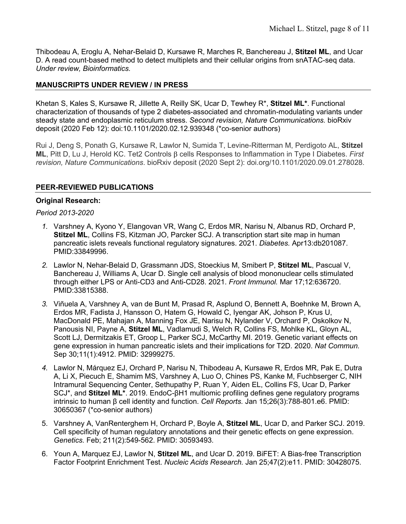Thibodeau A, Eroglu A, Nehar-Belaid D, Kursawe R, Marches R, Banchereau J, **Stitzel ML**, and Ucar D. A read count-based method to detect multiplets and their cellular origins from snATAC-seq data. *Under review, Bioinformatics.*

## **MANUSCRIPTS UNDER REVIEW / IN PRESS**

Khetan S, Kales S, Kursawe R, Jillette A, Reilly SK, Ucar D, Tewhey R\*, **Stitzel ML\***. Functional characterization of thousands of type 2 diabetes-associated and chromatin-modulating variants under steady state and endoplasmic reticulum stress. *Second revision, Nature Communications.* bioRxiv deposit (2020 Feb 12): doi:10.1101/2020.02.12.939348 (\*co-senior authors)

Rui J, Deng S, Ponath G, Kursawe R, Lawlor N, Sumida T, Levine-Ritterman M, Perdigoto AL, **Stitzel ML**, Pitt D, Lu J, Herold KC. Tet2 Controls β cells Responses to Inflammation in Type I Diabetes. *First revision, Nature Communications*. bioRxiv deposit (2020 Sept 2): doi.org/10.1101/2020.09.01.278028.

## **PEER-REVIEWED PUBLICATIONS**

#### **Original Research:**

*Period 2013-2020*

- *1.* Varshney A, Kyono Y, Elangovan VR, Wang C, Erdos MR, Narisu N, Albanus RD, Orchard P, **Stitzel ML**, Collins FS, Kitzman JO, Parcker SCJ. A transcription start site map in human pancreatic islets reveals functional regulatory signatures. 2021. *Diabetes.* Apr13:db201087. PMID:33849996.
- *2.* Lawlor N, Nehar-Belaid D, Grassmann JDS, Stoeckius M, Smibert P, **Stitzel ML**, Pascual V, Banchereau J, Williams A, Ucar D. Single cell analysis of blood mononuclear cells stimulated through either LPS or Anti-CD3 and Anti-CD28. 2021. *Front Immunol.* Mar 17;12:636720. PMID:33815388.
- *3.* Viñuela A, Varshney A, van de Bunt M, Prasad R, Asplund O, Bennett A, Boehnke M, Brown A, Erdos MR, Fadista J, Hansson O, Hatem G, Howald C, Iyengar AK, Johson P, Krus U, MacDonald PE, Mahajan A, Manning Fox JE, Narisu N, Nylander V, Orchard P, Oskolkov N, Panousis NI, Payne A, **Stitzel ML**, Vadlamudi S, Welch R, Collins FS, Mohlke KL, Gloyn AL, Scott LJ, Dermitzakis ET, Groop L, Parker SCJ, McCarthy MI. 2019. Genetic variant effects on gene expression in human pancreatic islets and their implications for T2D. 2020. *Nat Commun.*  Sep 30;11(1):4912. PMID: 32999275.
- *4.* Lawlor N, Márquez EJ, Orchard P, Narisu N, Thibodeau A, Kursawe R, Erdos MR, Pak E, Dutra A, Li X, Piecuch E, Shamim MS, Varshney A, Luo O, Chines PS, Kanke M, Fuchbserger C, NIH Intramural Sequencing Center, Sethupathy P, Ruan Y, Aiden EL, Collins FS, Ucar D, Parker SCJ\*, and **Stitzel ML\***. 2019. EndoC-βH1 multiomic profiling defines gene regulatory programs intrinsic to human β cell identity and function. *Cell Reports.* Jan 15;26(3):788-801.e6. PMID: 30650367 (\*co-senior authors)
- 5. Varshney A, VanRenterghem H, Orchard P, Boyle A, **Stitzel ML**, Ucar D, and Parker SCJ. 2019. Cell specificity of human regulatory annotations and their genetic effects on gene expression. *Genetics.* Feb; 211(2):549-562. PMID: 30593493*.*
- 6. Youn A, Marquez EJ, Lawlor N, **Stitzel ML**, and Ucar D. 2019. BiFET: A Bias-free Transcription Factor Footprint Enrichment Test. *Nucleic Acids Research.* Jan 25;47(2):e11. PMID: 30428075.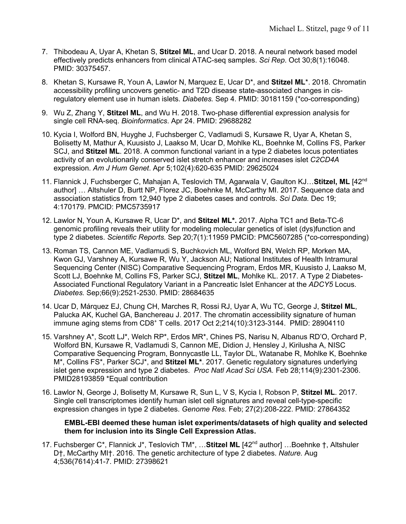- 7. Thibodeau A, Uyar A, Khetan S, **Stitzel ML**, and Ucar D. 2018. A neural network based model effectively predicts enhancers from clinical ATAC-seq samples. *Sci Rep*. Oct 30;8(1):16048. PMID: 30375457.
- 8. Khetan S, Kursawe R, Youn A, Lawlor N, Marquez E, Ucar D\*, and **Stitzel ML**\*. 2018. Chromatin accessibility profiling uncovers genetic- and T2D disease state-associated changes in cisregulatory element use in human islets. *Diabetes.* Sep 4. PMID: 30181159 (\*co-corresponding)
- 9. Wu Z, Zhang Y, **Stitzel ML**, and Wu H. 2018. Two-phase differential expression analysis for single cell RNA-seq. *Bioinformatics*. Apr 24. PMID: 29688282
- 10. Kycia I, Wolford BN, Huyghe J, Fuchsberger C, Vadlamudi S, Kursawe R, Uyar A, Khetan S, Bolisetty M, Mathur A, Kuusisto J, Laakso M, Ucar D, Mohlke KL, Boehnke M, Collins FS, Parker SCJ, and **Stitzel ML**. 2018. A common functional variant in a type 2 diabetes locus potentiates activity of an evolutionarily conserved islet stretch enhancer and increases islet *C2CD4A* expression. *Am J Hum Genet*. Apr 5;102(4):620-635 PMID: 29625024
- 11. Flannick J, Fuchsberger C, Mahajan A, Teslovich TM, Agarwala V, Gaulton KJ…**Stitzel, ML** [42nd author] … Altshuler D, Burtt NP, Florez JC, Boehnke M, McCarthy MI. 2017. Sequence data and association statistics from 12,940 type 2 diabetes cases and controls. *Sci Data.* Dec 19; 4:170179. PMCID: PMC5735917
- 12. Lawlor N, Youn A, Kursawe R, Ucar D\*, and **Stitzel ML\*.** 2017. Alpha TC1 and Beta-TC-6 genomic profiling reveals their utility for modeling molecular genetics of islet (dys)function and type 2 diabetes. *Scientific Reports.* Sep 20;7(1):11959 PMCID: PMC5607285 (\*co-corresponding)
- 13. Roman TS, Cannon ME, Vadlamudi S, Buchkovich ML, Wolford BN, Welch RP, Morken MA, Kwon GJ, Varshney A, Kursawe R, Wu Y, Jackson AU; National Institutes of Health Intramural Sequencing Center (NISC) Comparative Sequencing Program, Erdos MR, Kuusisto J, Laakso M, Scott LJ, Boehnke M, Collins FS, Parker SCJ, **Stitzel ML**, Mohlke KL. 2017. A Type 2 Diabetes-Associated Functional Regulatory Variant in a Pancreatic Islet Enhancer at the *ADCY5* Locus. *Diabetes.* Sep;66(9):2521-2530. PMID: 28684635
- 14. Ucar D, Márquez EJ, Chung CH, Marches R, Rossi RJ, Uyar A, Wu TC, George J, **Stitzel ML**, Palucka AK, Kuchel GA, Banchereau J. 2017. The chromatin accessibility signature of human immune aging stems from CD8+ T cells. 2017 Oct 2;214(10):3123-3144. PMID: 28904110
- 15. Varshney A\*, Scott LJ\*, Welch RP\*, Erdos MR\*, Chines PS, Narisu N, Albanus RD'O, Orchard P, Wolford BN, Kursawe R, Vadlamudi S, Cannon ME, Didion J, Hensley J, Kirilusha A, NISC Comparative Sequencing Program, Bonnycastle LL, Taylor DL, Watanabe R, Mohlke K, Boehnke M\*, Collins FS\*, Parker SCJ\*, and **Stitzel ML\***. 2017. Genetic regulatory signatures underlying islet gene expression and type 2 diabetes. *Proc Natl Acad Sci USA.* Feb 28;114(9):2301-2306. PMID28193859 \*Equal contribution
- 16. Lawlor N, George J, Bolisetty M, Kursawe R, Sun L, V S, Kycia I, Robson P, **Stitzel ML**. 2017. Single cell transcriptomes identify human islet cell signatures and reveal cell-type-specific expression changes in type 2 diabetes. *Genome Res.* Feb; 27(2):208-222. PMID: 27864352

#### **EMBL-EBI deemed these human islet experiments/datasets of high quality and selected them for inclusion into its Single Cell Expression Atlas.**

17. Fuchsberger C\*, Flannick J\*, Teslovich TM\*, …**Stitzel ML** [42nd author] …Boehnke †, Altshuler D†, McCarthy MI†. 2016. The genetic architecture of type 2 diabetes. *Nature.* Aug 4;536(7614):41-7. PMID: 27398621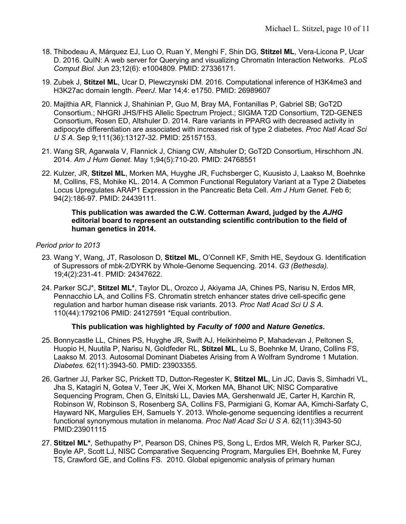- 18. Thibodeau A, Márquez EJ, Luo O, Ruan Y, Menghi F, Shin DG, **Stitzel ML**, Vera-Licona P, Ucar D. 2016. QuIN: A web server for Querying and visualizing Chromatin Interaction Networks. *PLoS Comput Biol.* Jun 23;12(6): e1004809. PMID: 27336171.
- 19. Zubek J, **Stitzel ML**, Ucar D, Plewczynski DM. 2016. Computational inference of H3K4me3 and H3K27ac domain length. *PeerJ*. Mar 14;4: e1750. PMID: 26989607
- 20. Majithia AR, Flannick J, Shahinian P, Guo M, Bray MA, Fontanillas P, Gabriel SB; GoT2D Consortium.; NHGRI JHS/FHS Allelic Spectrum Project.; SIGMA T2D Consortium, T2D-GENES Consortium, Rosen ED, Altshuler D. 2014. Rare variants in PPARG with decreased activity in adipocyte differentiation are associated with increased risk of type 2 diabetes. *Proc Natl Acad Sci U S A*. Sep 9;111(36):13127-32. PMID: 25157153.
- 21. Wang SR, Agarwala V, Flannick J, Chiang CW, Altshuler D; GoT2D Consortium, Hirschhorn JN. 2014. *Am J Hum Genet*. May 1;94(5):710-20. PMID: 24768551
- 22. Kulzer, JR, **Stitzel ML**, Morken MA, Huyghe JR, Fuchsberger C, Kuusisto J, Laakso M, Boehnke M, Collins, FS, Mohike KL. 2014. A Common Functional Regulatory Variant at a Type 2 Diabetes Locus Upregulates ARAP1 Expression in the Pancreatic Beta Cell. *Am J Hum Genet.* Feb 6; 94(2):186-97. PMID: 24439111.

#### **This publication was awarded the C.W. Cotterman Award, judged by the** *AJHG* **editorial board to represent an outstanding scientific contribution to the field of human genetics in 2014.**

## *Period prior to 2013*

- 23. Wang Y, Wang, JT, Rasoloson D, **Stitzel ML**, O'Connell KF, Smith HE, Seydoux G. Identification of Supressors of mbk-2/DYRK by Whole-Genome Sequencing. 2014. *G3 (Bethesda).* 19;4(2):231-41. PMID: 24347622.
- 24. Parker SCJ\*, **Stitzel ML\***, Taylor DL, Orozco J, Akiyama JA, Chines PS, Narisu N, Erdos MR, Pennacchio LA, and Collins FS. Chromatin stretch enhancer states drive cell-specific gene regulation and harbor human disease risk variants. 2013. *Proc Natl Acad Sci U S A.* 110(44):1792106 PMID: 24127591 \*Equal contribution.

## **This publication was highlighted by** *Faculty of 1000* **and** *Nature Genetics***.**

- 25. Bonnycastle LL, Chines PS, Huyghe JR, Swift AJ, Heikinheimo P, Mahadevan J, Peltonen S, Huopio H, Nuutila P, Narisu N, Goldfeder RL, **Stitzel ML**, Lu S, Boehnke M, Urano, Collins FS, Laakso M. 2013. Autosomal Dominant Diabetes Arising from A Wolfram Syndrome 1 Mutation. *Diabetes.* 62(11):3943-50. PMID: 23903355.
- 26. Gartner JJ, Parker SC, Prickett TD, Dutton-Regester K, **Stitzel ML**, Lin JC, Davis S, Simhadri VL, Jha S, Katagiri N, Gotea V, Teer JK, Wei X, Morken MA, Bhanot UK; NISC Comparative Sequencing Program, Chen G, Elnitski LL, Davies MA, Gershenwald JE, Carter H, Karchin R, Robinson W, Robinson S, Rosenberg SA, Collins FS, Parmigiani G, Komar AA, Kimchi-Sarfaty C, Hayward NK, Margulies EH, Samuels Y. 2013. Whole-genome sequencing identifies a recurrent functional synonymous mutation in melanoma. *Proc Natl Acad Sci U S A*. 62(11):3943-50 PMID:23901115
- 27. **Stitzel ML\***, Sethupathy P\*, Pearson DS, Chines PS, Song L, Erdos MR, Welch R, Parker SCJ, Boyle AP, Scott LJ, NISC Comparative Sequencing Program, Margulies EH, Boehnke M, Furey TS, Crawford GE, and Collins FS. 2010. Global epigenomic analysis of primary human